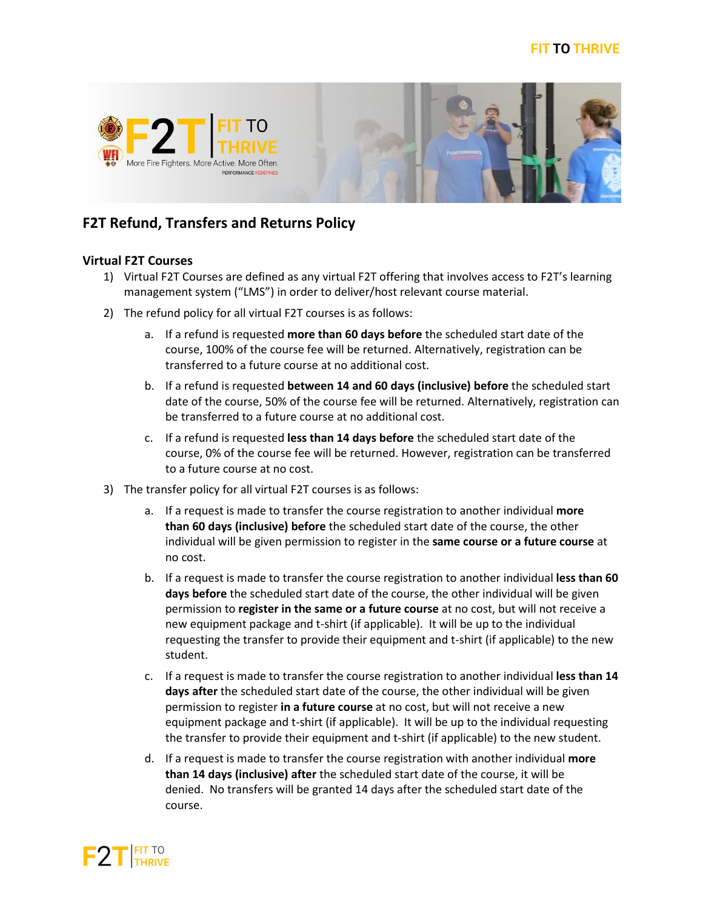



## **F2T Refund, Transfers and Returns Policy**

## **Virtual F2T Courses**

- 1) Virtual F2T Courses are defined as any virtual F2T offering that involves access to F2T's learning management system ("LMS") in order to deliver/host relevant course material.
- 2) The refund policy for all virtual F2T courses is as follows:
	- a. If a refund is requested **more than 60 days before** the scheduled start date of the course, 100% of the course fee will be returned. Alternatively, registration can be transferred to a future course at no additional cost.
	- b. If a refund is requested **between 14 and 60 days (inclusive) before** the scheduled start date of the course, 50% of the course fee will be returned. Alternatively, registration can be transferred to a future course at no additional cost.
	- c. If a refund is requested **less than 14 days before** the scheduled start date of the course, 0% of the course fee will be returned. However, registration can be transferred to a future course at no cost.
- 3) The transfer policy for all virtual F2T courses is as follows:
	- a. If a request is made to transfer the course registration to another individual **more than 60 days (inclusive) before** the scheduled start date of the course, the other individual will be given permission to register in the **same course or a future course** at no cost.
	- b. If a request is made to transfer the course registration to another individual **less than 60 days before** the scheduled start date of the course, the other individual will be given permission to **register in the same or a future course** at no cost, but will not receive a new equipment package and t-shirt (if applicable). It will be up to the individual requesting the transfer to provide their equipment and t-shirt (if applicable) to the new student.
	- c. If a request is made to transfer the course registration to another individual **less than 14 days after** the scheduled start date of the course, the other individual will be given permission to register **in a future course** at no cost, but will not receive a new equipment package and t-shirt (if applicable). It will be up to the individual requesting the transfer to provide their equipment and t-shirt (if applicable) to the new student.
	- d. If a request is made to transfer the course registration with another individual **more than 14 days (inclusive) after** the scheduled start date of the course, it will be denied. No transfers will be granted 14 days after the scheduled start date of the course.